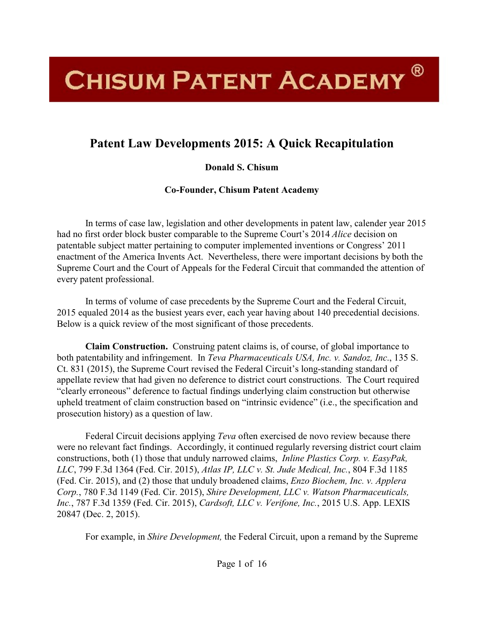## **CHISUM PATENT ACADEMY**<sup>®</sup>

## **Patent Law Developments 2015: A Quick Recapitulation**

## **Donald S. Chisum**

**Co-Founder, Chisum Patent Academy**

In terms of case law, legislation and other developments in patent law, calender year 2015 had no first order block buster comparable to the Supreme Court's 2014 *Alice* decision on patentable subject matter pertaining to computer implemented inventions or Congress' 2011 enactment of the America Invents Act. Nevertheless, there were important decisions by both the Supreme Court and the Court of Appeals for the Federal Circuit that commanded the attention of every patent professional.

In terms of volume of case precedents by the Supreme Court and the Federal Circuit, 2015 equaled 2014 as the busiest years ever, each year having about 140 precedential decisions. Below is a quick review of the most significant of those precedents.

**Claim Construction.** Construing patent claims is, of course, of global importance to both patentability and infringement. In *Teva Pharmaceuticals USA, Inc. v. Sandoz, Inc*., 135 S. Ct. 831 (2015), the Supreme Court revised the Federal Circuit's long-standing standard of appellate review that had given no deference to district court constructions. The Court required "clearly erroneous" deference to factual findings underlying claim construction but otherwise upheld treatment of claim construction based on "intrinsic evidence" (i.e., the specification and prosecution history) as a question of law.

Federal Circuit decisions applying *Teva* often exercised de novo review because there were no relevant fact findings. Accordingly, it continued regularly reversing district court claim constructions, both (1) those that unduly narrowed claims, *Inline Plastics Corp. v. EasyPak, LLC*, 799 F.3d 1364 (Fed. Cir. 2015), *Atlas IP, LLC v. St. Jude Medical, Inc.*, 804 F.3d 1185 (Fed. Cir. 2015), and (2) those that unduly broadened claims, *Enzo Biochem, Inc. v. Applera Corp.*, 780 F.3d 1149 (Fed. Cir. 2015), *Shire Development, LLC v. Watson Pharmaceuticals, Inc.*, 787 F.3d 1359 (Fed. Cir. 2015), *Cardsoft, LLC v. Verifone, Inc.*, 2015 U.S. App. LEXIS 20847 (Dec. 2, 2015).

For example, in *Shire Development,* the Federal Circuit, upon a remand by the Supreme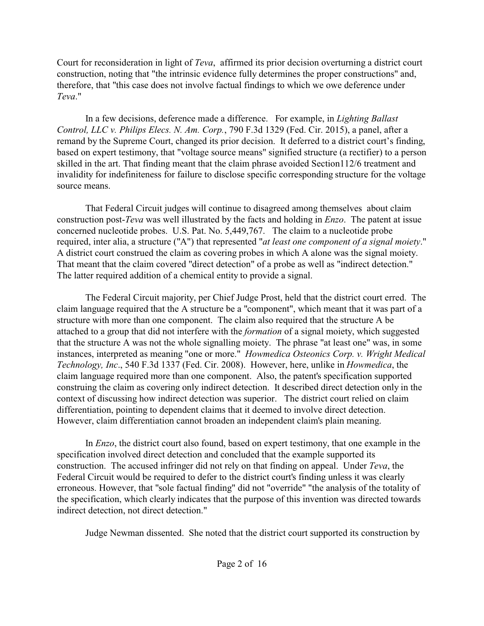Court for reconsideration in light of *Teva*, affirmed its prior decision overturning a district court construction, noting that "the intrinsic evidence fully determines the proper constructions" and, therefore, that "this case does not involve factual findings to which we owe deference under *Teva*."

In a few decisions, deference made a difference. For example, in *Lighting Ballast Control, LLC v. Philips Elecs. N. Am. Corp.*, 790 F.3d 1329 (Fed. Cir. 2015), a panel, after a remand by the Supreme Court, changed its prior decision. It deferred to a district court's finding, based on expert testimony, that "voltage source means" signified structure (a rectifier) to a person skilled in the art. That finding meant that the claim phrase avoided Section112/6 treatment and invalidity for indefiniteness for failure to disclose specific corresponding structure for the voltage source means.

That Federal Circuit judges will continue to disagreed among themselves about claim construction post-*Teva* was well illustrated by the facts and holding in *Enzo*. The patent at issue concerned nucleotide probes. U.S. Pat. No. 5,449,767. The claim to a nucleotide probe required, inter alia, a structure ("A") that represented "*at least one component of a signal moiety*." A district court construed the claim as covering probes in which A alone was the signal moiety. That meant that the claim covered "direct detection" of a probe as well as "indirect detection." The latter required addition of a chemical entity to provide a signal.

The Federal Circuit majority, per Chief Judge Prost, held that the district court erred. The claim language required that the A structure be a "component", which meant that it was part of a structure with more than one component. The claim also required that the structure A be attached to a group that did not interfere with the *formation* of a signal moiety, which suggested that the structure A was not the whole signalling moiety. The phrase "at least one" was, in some instances, interpreted as meaning "one or more." *Howmedica Osteonics Corp. v. Wright Medical Technology, Inc*., 540 F.3d 1337 (Fed. Cir. 2008). However, here, unlike in *Howmedica*, the claim language required more than one component. Also, the patent's specification supported construing the claim as covering only indirect detection. It described direct detection only in the context of discussing how indirect detection was superior. The district court relied on claim differentiation, pointing to dependent claims that it deemed to involve direct detection. However, claim differentiation cannot broaden an independent claim's plain meaning.

In *Enzo*, the district court also found, based on expert testimony, that one example in the specification involved direct detection and concluded that the example supported its construction. The accused infringer did not rely on that finding on appeal. Under *Teva*, the Federal Circuit would be required to defer to the district court's finding unless it was clearly erroneous. However, that "sole factual finding" did not "override" "the analysis of the totality of the specification, which clearly indicates that the purpose of this invention was directed towards indirect detection, not direct detection."

Judge Newman dissented. She noted that the district court supported its construction by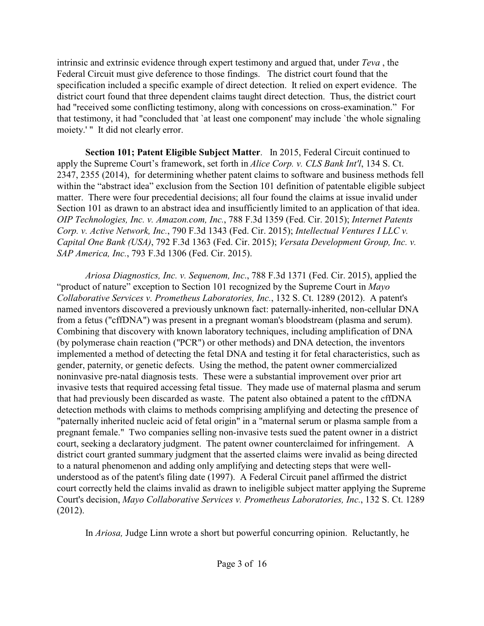intrinsic and extrinsic evidence through expert testimony and argued that, under *Teva* , the Federal Circuit must give deference to those findings. The district court found that the specification included a specific example of direct detection. It relied on expert evidence. The district court found that three dependent claims taught direct detection. Thus, the district court had "received some conflicting testimony, along with concessions on cross-examination." For that testimony, it had "concluded that `at least one component' may include `the whole signaling moiety.' " It did not clearly error.

**Section 101; Patent Eligible Subject Matter**. In 2015, Federal Circuit continued to apply the Supreme Court's framework, set forth in *Alice Corp. v. CLS Bank Int'l*, 134 S. Ct. 2347, 2355 (2014), for determining whether patent claims to software and business methods fell within the "abstract idea" exclusion from the Section 101 definition of patentable eligible subject matter. There were four precedential decisions; all four found the claims at issue invalid under Section 101 as drawn to an abstract idea and insufficiently limited to an application of that idea. *OIP Technologies, Inc. v. Amazon.com, Inc.*, 788 F.3d 1359 (Fed. Cir. 2015); *Internet Patents Corp. v. Active Network, Inc.*, 790 F.3d 1343 (Fed. Cir. 2015); *Intellectual Ventures I LLC v. Capital One Bank (USA)*, 792 F.3d 1363 (Fed. Cir. 2015); *Versata Development Group, Inc. v. SAP America, Inc.*, 793 F.3d 1306 (Fed. Cir. 2015).

*Ariosa Diagnostics, Inc. v. Sequenom, Inc*., 788 F.3d 1371 (Fed. Cir. 2015), applied the "product of nature" exception to Section 101 recognized by the Supreme Court in *Mayo Collaborative Services v. Prometheus Laboratories, Inc.*, 132 S. Ct. 1289 (2012). A patent's named inventors discovered a previously unknown fact: paternally-inherited, non-cellular DNA from a fetus ("cffDNA") was present in a pregnant woman's bloodstream (plasma and serum). Combining that discovery with known laboratory techniques, including amplification of DNA (by polymerase chain reaction ("PCR") or other methods) and DNA detection, the inventors implemented a method of detecting the fetal DNA and testing it for fetal characteristics, such as gender, paternity, or genetic defects. Using the method, the patent owner commercialized noninvasive pre-natal diagnosis tests. These were a substantial improvement over prior art invasive tests that required accessing fetal tissue. They made use of maternal plasma and serum that had previously been discarded as waste. The patent also obtained a patent to the cffDNA detection methods with claims to methods comprising amplifying and detecting the presence of "paternally inherited nucleic acid of fetal origin" in a "maternal serum or plasma sample from a pregnant female." Two companies selling non-invasive tests sued the patent owner in a district court, seeking a declaratory judgment. The patent owner counterclaimed for infringement. A district court granted summary judgment that the asserted claims were invalid as being directed to a natural phenomenon and adding only amplifying and detecting steps that were wellunderstood as of the patent's filing date (1997). A Federal Circuit panel affirmed the district court correctly held the claims invalid as drawn to ineligible subject matter applying the Supreme Court's decision, *Mayo Collaborative Services v. Prometheus Laboratories, Inc.*, 132 S. Ct. 1289 (2012).

In *Ariosa,* Judge Linn wrote a short but powerful concurring opinion. Reluctantly, he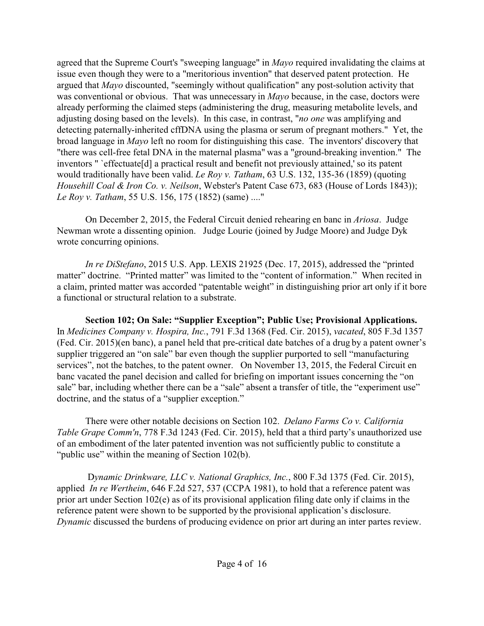agreed that the Supreme Court's "sweeping language" in *Mayo* required invalidating the claims at issue even though they were to a "meritorious invention" that deserved patent protection. He argued that *Mayo* discounted, "seemingly without qualification" any post-solution activity that was conventional or obvious. That was unnecessary in *Mayo* because, in the case, doctors were already performing the claimed steps (administering the drug, measuring metabolite levels, and adjusting dosing based on the levels). In this case, in contrast, "*no one* was amplifying and detecting paternally-inherited cffDNA using the plasma or serum of pregnant mothers." Yet, the broad language in *Mayo* left no room for distinguishing this case. The inventors' discovery that "there was cell-free fetal DNA in the maternal plasma" was a "ground-breaking invention." The inventors " `effectuate[d] a practical result and benefit not previously attained,' so its patent would traditionally have been valid. *Le Roy v. Tatham*, 63 U.S. 132, 135-36 (1859) (quoting *Househill Coal & Iron Co. v. Neilson*, Webster's Patent Case 673, 683 (House of Lords 1843)); *Le Roy v. Tatham*, 55 U.S. 156, 175 (1852) (same) ...."

On December 2, 2015, the Federal Circuit denied rehearing en banc in *Ariosa*. Judge Newman wrote a dissenting opinion. Judge Lourie (joined by Judge Moore) and Judge Dyk wrote concurring opinions.

*In re DiStefano*, 2015 U.S. App. LEXIS 21925 (Dec. 17, 2015), addressed the "printed matter" doctrine. "Printed matter" was limited to the "content of information." When recited in a claim, printed matter was accorded "patentable weight" in distinguishing prior art only if it bore a functional or structural relation to a substrate.

**Section 102; On Sale: "Supplier Exception"; Public Use; Provisional Applications.** In *Medicines Company v. Hospira, Inc.*, 791 F.3d 1368 (Fed. Cir. 2015), *vacated*, 805 F.3d 1357 (Fed. Cir. 2015)(en banc), a panel held that pre-critical date batches of a drug by a patent owner's supplier triggered an "on sale" bar even though the supplier purported to sell "manufacturing services", not the batches, to the patent owner. On November 13, 2015, the Federal Circuit en banc vacated the panel decision and called for briefing on important issues concerning the "on sale" bar, including whether there can be a "sale" absent a transfer of title, the "experiment use" doctrine, and the status of a "supplier exception."

There were other notable decisions on Section 102. *Delano Farms Co v. California Table Grape Comm'n*, 778 F.3d 1243 (Fed. Cir. 2015), held that a third party's unauthorized use of an embodiment of the later patented invention was not sufficiently public to constitute a "public use" within the meaning of Section 102(b).

 D*ynamic Drinkware, LLC v. National Graphics, Inc.*, 800 F.3d 1375 (Fed. Cir. 2015), applied *In re Wertheim*, 646 F.2d 527, 537 (CCPA 1981), to hold that a reference patent was prior art under Section 102(e) as of its provisional application filing date only if claims in the reference patent were shown to be supported by the provisional application's disclosure. *Dynamic* discussed the burdens of producing evidence on prior art during an inter partes review.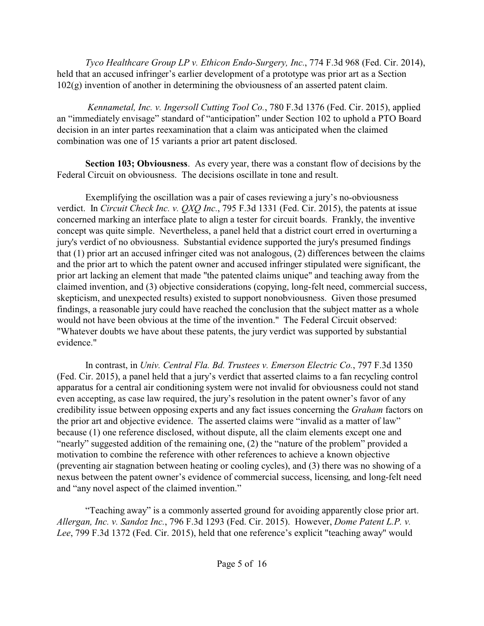*Tyco Healthcare Group LP v. Ethicon Endo-Surgery, Inc.*, 774 F.3d 968 (Fed. Cir. 2014), held that an accused infringer's earlier development of a prototype was prior art as a Section 102(g) invention of another in determining the obviousness of an asserted patent claim.

*Kennametal, Inc. v. Ingersoll Cutting Tool Co.*, 780 F.3d 1376 (Fed. Cir. 2015), applied an "immediately envisage" standard of "anticipation" under Section 102 to uphold a PTO Board decision in an inter partes reexamination that a claim was anticipated when the claimed combination was one of 15 variants a prior art patent disclosed.

**Section 103; Obviousness**. As every year, there was a constant flow of decisions by the Federal Circuit on obviousness. The decisions oscillate in tone and result.

Exemplifying the oscillation was a pair of cases reviewing a jury's no-obviousness verdict. In *Circuit Check Inc. v. QXQ Inc.*, 795 F.3d 1331 (Fed. Cir. 2015), the patents at issue concerned marking an interface plate to align a tester for circuit boards. Frankly, the inventive concept was quite simple. Nevertheless, a panel held that a district court erred in overturning a jury's verdict of no obviousness. Substantial evidence supported the jury's presumed findings that (1) prior art an accused infringer cited was not analogous, (2) differences between the claims and the prior art to which the patent owner and accused infringer stipulated were significant, the prior art lacking an element that made "the patented claims unique" and teaching away from the claimed invention, and (3) objective considerations (copying, long-felt need, commercial success, skepticism, and unexpected results) existed to support nonobviousness. Given those presumed findings, a reasonable jury could have reached the conclusion that the subject matter as a whole would not have been obvious at the time of the invention." The Federal Circuit observed: "Whatever doubts we have about these patents, the jury verdict was supported by substantial evidence."

In contrast, in *Univ. Central Fla. Bd. Trustees v. Emerson Electric Co.*, 797 F.3d 1350 (Fed. Cir. 2015), a panel held that a jury's verdict that asserted claims to a fan recycling control apparatus for a central air conditioning system were not invalid for obviousness could not stand even accepting, as case law required, the jury's resolution in the patent owner's favor of any credibility issue between opposing experts and any fact issues concerning the *Graham* factors on the prior art and objective evidence. The asserted claims were "invalid as a matter of law" because (1) one reference disclosed, without dispute, all the claim elements except one and "nearly" suggested addition of the remaining one, (2) the "nature of the problem" provided a motivation to combine the reference with other references to achieve a known objective (preventing air stagnation between heating or cooling cycles), and (3) there was no showing of a nexus between the patent owner's evidence of commercial success, licensing, and long-felt need and "any novel aspect of the claimed invention."

"Teaching away" is a commonly asserted ground for avoiding apparently close prior art. *Allergan, Inc. v. Sandoz Inc.*, 796 F.3d 1293 (Fed. Cir. 2015). However, *Dome Patent L.P. v. Lee*, 799 F.3d 1372 (Fed. Cir. 2015), held that one reference's explicit "teaching away" would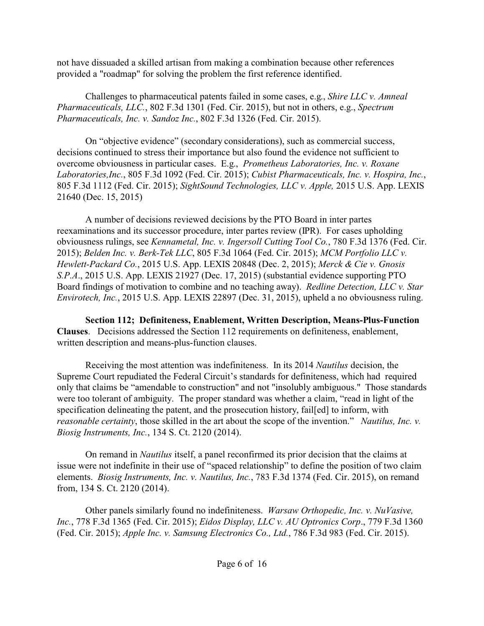not have dissuaded a skilled artisan from making a combination because other references provided a "roadmap" for solving the problem the first reference identified.

Challenges to pharmaceutical patents failed in some cases, e.g., *Shire LLC v. Amneal Pharmaceuticals, LLC.*, 802 F.3d 1301 (Fed. Cir. 2015), but not in others, e.g., *Spectrum Pharmaceuticals, Inc. v. Sandoz Inc.*, 802 F.3d 1326 (Fed. Cir. 2015).

On "objective evidence" (secondary considerations), such as commercial success, decisions continued to stress their importance but also found the evidence not sufficient to overcome obviousness in particular cases. E.g., *Prometheus Laboratories, Inc. v. Roxane Laboratories,Inc.*, 805 F.3d 1092 (Fed. Cir. 2015); *Cubist Pharmaceuticals, Inc. v. Hospira, Inc.*, 805 F.3d 1112 (Fed. Cir. 2015); *SightSound Technologies, LLC v. Apple,* 2015 U.S. App. LEXIS 21640 (Dec. 15, 2015)

A number of decisions reviewed decisions by the PTO Board in inter partes reexaminations and its successor procedure, inter partes review (IPR). For cases upholding obviousness rulings, see *Kennametal, Inc. v. Ingersoll Cutting Tool Co.*, 780 F.3d 1376 (Fed. Cir. 2015); *Belden Inc. v. Berk-Tek LLC*, 805 F.3d 1064 (Fed. Cir. 2015); *MCM Portfolio LLC v. Hewlett-Packard Co.*, 2015 U.S. App. LEXIS 20848 (Dec. 2, 2015); *Merck & Cie v. Gnosis S.P.A*., 2015 U.S. App. LEXIS 21927 (Dec. 17, 2015) (substantial evidence supporting PTO Board findings of motivation to combine and no teaching away). *Redline Detection, LLC v. Star Envirotech, Inc.*, 2015 U.S. App. LEXIS 22897 (Dec. 31, 2015), upheld a no obviousness ruling.

**Section 112; Definiteness, Enablement, Written Description, Means-Plus-Function Clauses**. Decisions addressed the Section 112 requirements on definiteness, enablement, written description and means-plus-function clauses.

Receiving the most attention was indefiniteness. In its 2014 *Nautilus* decision, the Supreme Court repudiated the Federal Circuit's standards for definiteness, which had required only that claims be "amendable to construction" and not "insolubly ambiguous." Those standards were too tolerant of ambiguity. The proper standard was whether a claim, "read in light of the specification delineating the patent, and the prosecution history, fail[ed] to inform, with *reasonable certainty*, those skilled in the art about the scope of the invention." *Nautilus, Inc. v. Biosig Instruments, Inc.*, 134 S. Ct. 2120 (2014).

On remand in *Nautilus* itself, a panel reconfirmed its prior decision that the claims at issue were not indefinite in their use of "spaced relationship" to define the position of two claim elements. *Biosig Instruments, Inc. v. Nautilus, Inc.*, 783 F.3d 1374 (Fed. Cir. 2015), on remand from, 134 S. Ct. 2120 (2014).

Other panels similarly found no indefiniteness. *Warsaw Orthopedic, Inc. v. NuVasive, Inc.*, 778 F.3d 1365 (Fed. Cir. 2015); *Eidos Display, LLC v. AU Optronics Corp*., 779 F.3d 1360 (Fed. Cir. 2015); *Apple Inc. v. Samsung Electronics Co., Ltd.*, 786 F.3d 983 (Fed. Cir. 2015).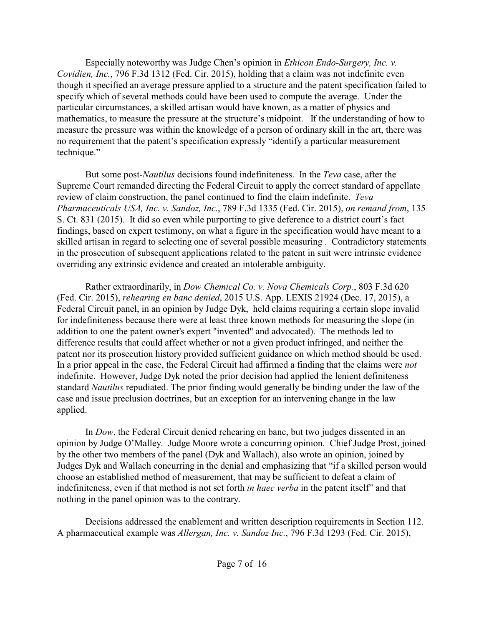Especially noteworthy was Judge Chen's opinion in *Ethicon Endo-Surgery, Inc. v. Covidien, Inc.*, 796 F.3d 1312 (Fed. Cir. 2015), holding that a claim was not indefinite even though it specified an average pressure applied to a structure and the patent specification failed to specify which of several methods could have been used to compute the average. Under the particular circumstances, a skilled artisan would have known, as a matter of physics and mathematics, to measure the pressure at the structure's midpoint. If the understanding of how to measure the pressure was within the knowledge of a person of ordinary skill in the art, there was no requirement that the patent's specification expressly "identify a particular measurement technique."

But some post-*Nautilus* decisions found indefiniteness. In the *Teva* case, after the Supreme Court remanded directing the Federal Circuit to apply the correct standard of appellate review of claim construction, the panel continued to find the claim indefinite. *Teva Pharmaceuticals USA, Inc. v. Sandoz, Inc.*, 789 F.3d 1335 (Fed. Cir. 2015), *on remand from*, 135 S. Ct. 831 (2015). It did so even while purporting to give deference to a district court's fact findings, based on expert testimony, on what a figure in the specification would have meant to a skilled artisan in regard to selecting one of several possible measuring . Contradictory statements in the prosecution of subsequent applications related to the patent in suit were intrinsic evidence overriding any extrinsic evidence and created an intolerable ambiguity.

Rather extraordinarily, in *Dow Chemical Co. v. Nova Chemicals Corp.*, 803 F.3d 620 (Fed. Cir. 2015), *rehearing en banc denied*, 2015 U.S. App. LEXIS 21924 (Dec. 17, 2015), a Federal Circuit panel, in an opinion by Judge Dyk, held claims requiring a certain slope invalid for indefiniteness because there were at least three known methods for measuring the slope (in addition to one the patent owner's expert "invented" and advocated). The methods led to difference results that could affect whether or not a given product infringed, and neither the patent nor its prosecution history provided sufficient guidance on which method should be used. In a prior appeal in the case, the Federal Circuit had affirmed a finding that the claims were *not* indefinite. However, Judge Dyk noted the prior decision had applied the lenient definiteness standard *Nautilus* repudiated. The prior finding would generally be binding under the law of the case and issue preclusion doctrines, but an exception for an intervening change in the law applied.

In *Dow*, the Federal Circuit denied rehearing en banc, but two judges dissented in an opinion by Judge O'Malley. Judge Moore wrote a concurring opinion. Chief Judge Prost, joined by the other two members of the panel (Dyk and Wallach), also wrote an opinion, joined by Judges Dyk and Wallach concurring in the denial and emphasizing that "if a skilled person would choose an established method of measurement, that may be sufficient to defeat a claim of indefiniteness, even if that method is not set forth *in haec verba* in the patent itself" and that nothing in the panel opinion was to the contrary.

Decisions addressed the enablement and written description requirements in Section 112. A pharmaceutical example was *Allergan, Inc. v. Sandoz Inc.*, 796 F.3d 1293 (Fed. Cir. 2015),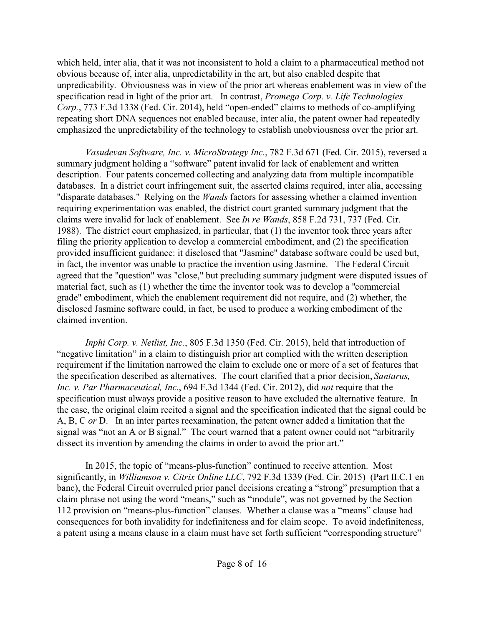which held, inter alia, that it was not inconsistent to hold a claim to a pharmaceutical method not obvious because of, inter alia, unpredictability in the art, but also enabled despite that unpredicability. Obviousness was in view of the prior art whereas enablement was in view of the specification read in light of the prior art. In contrast, *Promega Corp. v. Life Technologies Corp.*, 773 F.3d 1338 (Fed. Cir. 2014), held "open-ended" claims to methods of co-amplifying repeating short DNA sequences not enabled because, inter alia, the patent owner had repeatedly emphasized the unpredictability of the technology to establish unobviousness over the prior art.

*Vasudevan Software, Inc. v. MicroStrategy Inc.*, 782 F.3d 671 (Fed. Cir. 2015), reversed a summary judgment holding a "software" patent invalid for lack of enablement and written description. Four patents concerned collecting and analyzing data from multiple incompatible databases. In a district court infringement suit, the asserted claims required, inter alia, accessing "disparate databases." Relying on the *Wands* factors for assessing whether a claimed invention requiring experimentation was enabled, the district court granted summary judgment that the claims were invalid for lack of enablement. See *In re Wands*, 858 F.2d 731, 737 (Fed. Cir. 1988). The district court emphasized, in particular, that (1) the inventor took three years after filing the priority application to develop a commercial embodiment, and (2) the specification provided insufficient guidance: it disclosed that "Jasmine" database software could be used but, in fact, the inventor was unable to practice the invention using Jasmine. The Federal Circuit agreed that the "question" was "close," but precluding summary judgment were disputed issues of material fact, such as (1) whether the time the inventor took was to develop a "commercial grade" embodiment, which the enablement requirement did not require, and (2) whether, the disclosed Jasmine software could, in fact, be used to produce a working embodiment of the claimed invention.

*Inphi Corp. v. Netlist, Inc.*, 805 F.3d 1350 (Fed. Cir. 2015), held that introduction of "negative limitation" in a claim to distinguish prior art complied with the written description requirement if the limitation narrowed the claim to exclude one or more of a set of features that the specification described as alternatives. The court clarified that a prior decision, *Santarus, Inc. v. Par Pharmaceutical, Inc.*, 694 F.3d 1344 (Fed. Cir. 2012), did *not* require that the specification must always provide a positive reason to have excluded the alternative feature. In the case, the original claim recited a signal and the specification indicated that the signal could be A, B, C *or* D. In an inter partes reexamination, the patent owner added a limitation that the signal was "not an A or B signal." The court warned that a patent owner could not "arbitrarily dissect its invention by amending the claims in order to avoid the prior art."

In 2015, the topic of "means-plus-function" continued to receive attention. Most significantly, in *Williamson v. Citrix Online LLC*, 792 F.3d 1339 (Fed. Cir. 2015) (Part II.C.1 en banc), the Federal Circuit overruled prior panel decisions creating a "strong" presumption that a claim phrase not using the word "means," such as "module", was not governed by the Section 112 provision on "means-plus-function" clauses. Whether a clause was a "means" clause had consequences for both invalidity for indefiniteness and for claim scope. To avoid indefiniteness, a patent using a means clause in a claim must have set forth sufficient "corresponding structure"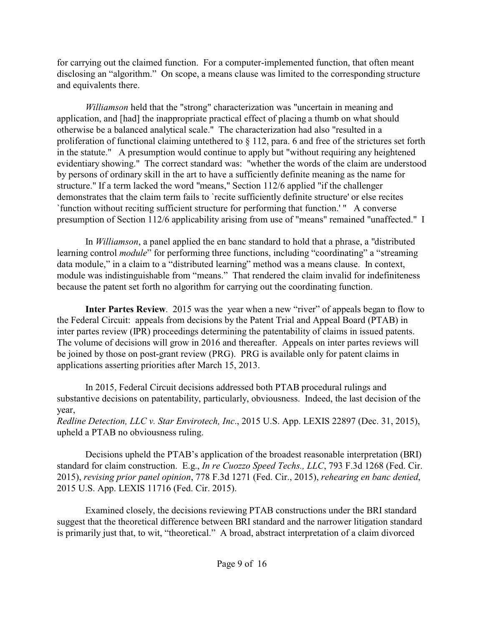for carrying out the claimed function. For a computer-implemented function, that often meant disclosing an "algorithm." On scope, a means clause was limited to the corresponding structure and equivalents there.

*Williamson* held that the "strong" characterization was "uncertain in meaning and application, and [had] the inappropriate practical effect of placing a thumb on what should otherwise be a balanced analytical scale." The characterization had also "resulted in a proliferation of functional claiming untethered to § 112, para. 6 and free of the strictures set forth in the statute." A presumption would continue to apply but "without requiring any heightened evidentiary showing." The correct standard was: "whether the words of the claim are understood by persons of ordinary skill in the art to have a sufficiently definite meaning as the name for structure." If a term lacked the word "means," Section 112/6 applied "if the challenger demonstrates that the claim term fails to `recite sufficiently definite structure' or else recites `function without reciting sufficient structure for performing that function.' " A converse presumption of Section 112/6 applicability arising from use of "means" remained "unaffected." I

In *Williamson*, a panel applied the en banc standard to hold that a phrase, a "distributed learning control *module*" for performing three functions, including "coordinating" a "streaming data module," in a claim to a "distributed learning" method was a means clause. In context, module was indistinguishable from "means." That rendered the claim invalid for indefiniteness because the patent set forth no algorithm for carrying out the coordinating function.

**Inter Partes Review.** 2015 was the year when a new "river" of appeals began to flow to the Federal Circuit: appeals from decisions by the Patent Trial and Appeal Board (PTAB) in inter partes review (IPR) proceedings determining the patentability of claims in issued patents. The volume of decisions will grow in 2016 and thereafter. Appeals on inter partes reviews will be joined by those on post-grant review (PRG). PRG is available only for patent claims in applications asserting priorities after March 15, 2013.

In 2015, Federal Circuit decisions addressed both PTAB procedural rulings and substantive decisions on patentability, particularly, obviousness. Indeed, the last decision of the year,

*Redline Detection, LLC v. Star Envirotech, Inc*., 2015 U.S. App. LEXIS 22897 (Dec. 31, 2015), upheld a PTAB no obviousness ruling.

Decisions upheld the PTAB's application of the broadest reasonable interpretation (BRI) standard for claim construction. E.g., *In re Cuozzo Speed Techs., LLC*, 793 F.3d 1268 (Fed. Cir. 2015), *revising prior panel opinion*, 778 F.3d 1271 (Fed. Cir., 2015), *rehearing en banc denied*, 2015 U.S. App. LEXIS 11716 (Fed. Cir. 2015).

Examined closely, the decisions reviewing PTAB constructions under the BRI standard suggest that the theoretical difference between BRI standard and the narrower litigation standard is primarily just that, to wit, "theoretical." A broad, abstract interpretation of a claim divorced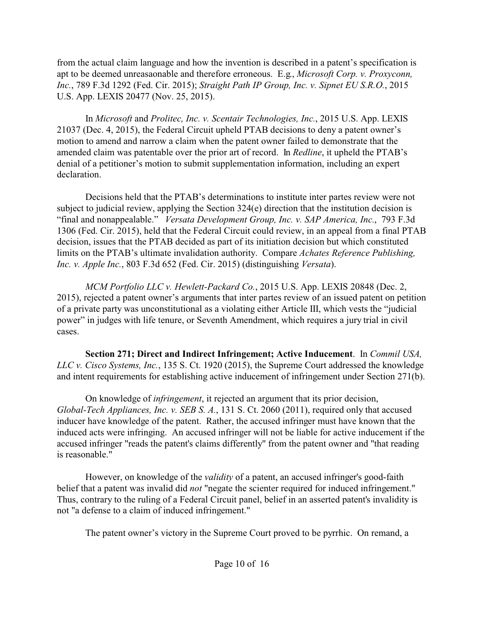from the actual claim language and how the invention is described in a patent's specification is apt to be deemed unreasaonable and therefore erroneous. E.g., *Microsoft Corp. v. Proxyconn, Inc.*, 789 F.3d 1292 (Fed. Cir. 2015); *Straight Path IP Group, Inc. v. Sipnet EU S.R.O.*, 2015 U.S. App. LEXIS 20477 (Nov. 25, 2015).

In *Microsoft* and *Prolitec, Inc. v. Scentair Technologies, Inc.*, 2015 U.S. App. LEXIS 21037 (Dec. 4, 2015), the Federal Circuit upheld PTAB decisions to deny a patent owner's motion to amend and narrow a claim when the patent owner failed to demonstrate that the amended claim was patentable over the prior art of record. In *Redline*, it upheld the PTAB's denial of a petitioner's motion to submit supplementation information, including an expert declaration.

Decisions held that the PTAB's determinations to institute inter partes review were not subject to judicial review, applying the Section 324(e) direction that the institution decision is "final and nonappealable." *Versata Development Group, Inc. v. SAP America, Inc.*, 793 F.3d 1306 (Fed. Cir. 2015), held that the Federal Circuit could review, in an appeal from a final PTAB decision, issues that the PTAB decided as part of its initiation decision but which constituted limits on the PTAB's ultimate invalidation authority. Compare *Achates Reference Publishing, Inc. v. Apple Inc.*, 803 F.3d 652 (Fed. Cir. 2015) (distinguishing *Versata*).

*MCM Portfolio LLC v. Hewlett-Packard Co.*, 2015 U.S. App. LEXIS 20848 (Dec. 2, 2015), rejected a patent owner's arguments that inter partes review of an issued patent on petition of a private party was unconstitutional as a violating either Article III, which vests the "judicial power" in judges with life tenure, or Seventh Amendment, which requires a jury trial in civil cases.

**Section 271; Direct and Indirect Infringement; Active Inducement**. In *Commil USA, LLC v. Cisco Systems, Inc.*, 135 S. Ct. 1920 (2015), the Supreme Court addressed the knowledge and intent requirements for establishing active inducement of infringement under Section 271(b).

On knowledge of *infringement*, it rejected an argument that its prior decision, *Global-Tech Appliances, Inc. v. SEB S. A.*, 131 S. Ct. 2060 (2011), required only that accused inducer have knowledge of the patent. Rather, the accused infringer must have known that the induced acts were infringing. An accused infringer will not be liable for active inducement if the accused infringer "reads the patent's claims differently" from the patent owner and "that reading is reasonable."

However, on knowledge of the *validity* of a patent, an accused infringer's good-faith belief that a patent was invalid did *not* "negate the scienter required for induced infringement." Thus, contrary to the ruling of a Federal Circuit panel, belief in an asserted patent's invalidity is not "a defense to a claim of induced infringement."

The patent owner's victory in the Supreme Court proved to be pyrrhic. On remand, a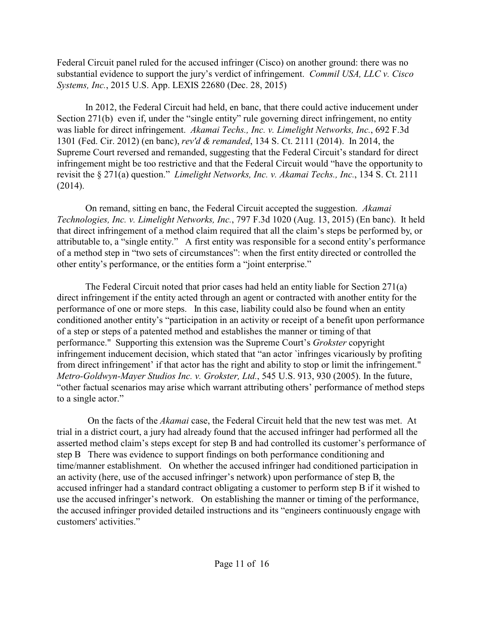Federal Circuit panel ruled for the accused infringer (Cisco) on another ground: there was no substantial evidence to support the jury's verdict of infringement. *Commil USA, LLC v. Cisco Systems, Inc.*, 2015 U.S. App. LEXIS 22680 (Dec. 28, 2015)

In 2012, the Federal Circuit had held, en banc, that there could active inducement under Section 271(b) even if, under the "single entity" rule governing direct infringement, no entity was liable for direct infringement. *Akamai Techs., Inc. v. Limelight Networks, Inc.*, 692 F.3d 1301 (Fed. Cir. 2012) (en banc), *rev'd & remanded*, 134 S. Ct. 2111 (2014). In 2014, the Supreme Court reversed and remanded, suggesting that the Federal Circuit's standard for direct infringement might be too restrictive and that the Federal Circuit would "have the opportunity to revisit the § 271(a) question." *Limelight Networks, Inc. v. Akamai Techs., Inc.*, 134 S. Ct. 2111 (2014).

On remand, sitting en banc, the Federal Circuit accepted the suggestion. *Akamai Technologies, Inc. v. Limelight Networks, Inc.*, 797 F.3d 1020 (Aug. 13, 2015) (En banc). It held that direct infringement of a method claim required that all the claim's steps be performed by, or attributable to, a "single entity." A first entity was responsible for a second entity's performance of a method step in "two sets of circumstances": when the first entity directed or controlled the other entity's performance, or the entities form a "joint enterprise."

The Federal Circuit noted that prior cases had held an entity liable for Section 271(a) direct infringement if the entity acted through an agent or contracted with another entity for the performance of one or more steps. In this case, liability could also be found when an entity conditioned another entity's "participation in an activity or receipt of a benefit upon performance of a step or steps of a patented method and establishes the manner or timing of that performance." Supporting this extension was the Supreme Court's *Grokster* copyright infringement inducement decision, which stated that "an actor `infringes vicariously by profiting from direct infringement' if that actor has the right and ability to stop or limit the infringement." *Metro-Goldwyn-Mayer Studios Inc. v. Grokster, Ltd.*, 545 U.S. 913, 930 (2005). In the future, "other factual scenarios may arise which warrant attributing others' performance of method steps to a single actor."

 On the facts of the *Akamai* case, the Federal Circuit held that the new test was met. At trial in a district court, a jury had already found that the accused infringer had performed all the asserted method claim's steps except for step B and had controlled its customer's performance of step B There was evidence to support findings on both performance conditioning and time/manner establishment. On whether the accused infringer had conditioned participation in an activity (here, use of the accused infringer's network) upon performance of step B, the accused infringer had a standard contract obligating a customer to perform step B if it wished to use the accused infringer's network. On establishing the manner or timing of the performance, the accused infringer provided detailed instructions and its "engineers continuously engage with customers' activities."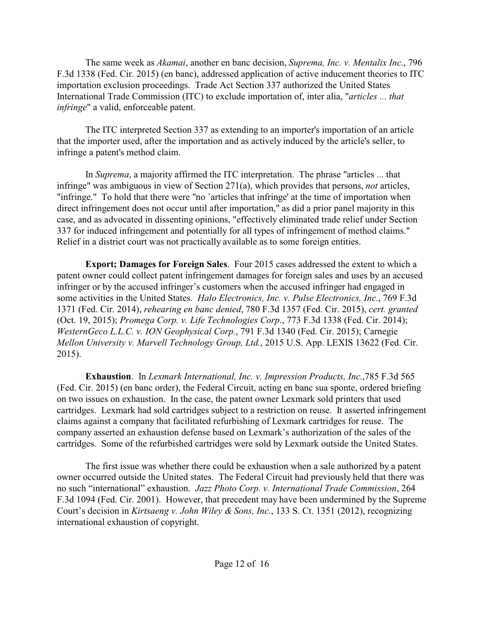The same week as *Akamai*, another en banc decision, *Suprema, Inc. v. Mentalix Inc*., 796 F.3d 1338 (Fed. Cir. 2015) (en banc), addressed application of active inducement theories to ITC importation exclusion proceedings. Trade Act Section 337 authorized the United States International Trade Commission (ITC) to exclude importation of, inter alia, "*articles ... that infringe*" a valid, enforceable patent.

The ITC interpreted Section 337 as extending to an importer's importation of an article that the importer used, after the importation and as actively induced by the article's seller, to infringe a patent's method claim.

In *Suprema*, a majority affirmed the ITC interpretation. The phrase "articles ... that infringe" was ambiguous in view of Section 271(a), which provides that persons, *not* articles, "infringe." To hold that there were "no `articles that infringe' at the time of importation when direct infringement does not occur until after importation," as did a prior panel majority in this case, and as advocated in dissenting opinions, "effectively eliminated trade relief under Section 337 for induced infringement and potentially for all types of infringement of method claims." Relief in a district court was not practically available as to some foreign entities.

**Export; Damages for Foreign Sales**. Four 2015 cases addressed the extent to which a patent owner could collect patent infringement damages for foreign sales and uses by an accused infringer or by the accused infringer's customers when the accused infringer had engaged in some activities in the United States. *Halo Electronics, Inc. v. Pulse Electronics, Inc.*, 769 F.3d 1371 (Fed. Cir. 2014), *rehearing en banc denied*, 780 F.3d 1357 (Fed. Cir. 2015), *cert. granted* (Oct. 19, 2015); *Promega Corp. v. Life Technologies Corp*., 773 F.3d 1338 (Fed. Cir. 2014); *WesternGeco L.L.C. v. ION Geophysical Corp.*, 791 F.3d 1340 (Fed. Cir. 2015); Carnegie *Mellon University v. Marvell Technology Group, Ltd.*, 2015 U.S. App. LEXIS 13622 (Fed. Cir. 2015).

**Exhaustion**. In *Lexmark International, Inc. v. Impression Products, Inc.*,785 F.3d 565 (Fed. Cir. 2015) (en banc order), the Federal Circuit, acting en banc sua sponte, ordered briefing on two issues on exhaustion. In the case, the patent owner Lexmark sold printers that used cartridges. Lexmark had sold cartridges subject to a restriction on reuse. It asserted infringement claims against a company that facilitated refurbishing of Lexmark cartridges for reuse. The company asserted an exhaustion defense based on Lexmark's authorization of the sales of the cartridges. Some of the refurbished cartridges were sold by Lexmark outside the United States.

The first issue was whether there could be exhaustion when a sale authorized by a patent owner occurred outside the United states. The Federal Circuit had previously held that there was no such "international" exhaustion. *Jazz Photo Corp. v. International Trade Commission*, 264 F.3d 1094 (Fed. Cir. 2001). However, that precedent may have been undermined by the Supreme Court's decision in *Kirtsaeng v. John Wiley & Sons, Inc.*, 133 S. Ct. 1351 (2012), recognizing international exhaustion of copyright.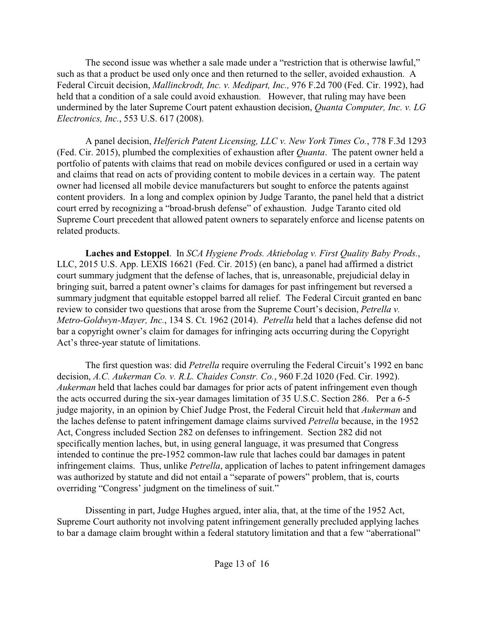The second issue was whether a sale made under a "restriction that is otherwise lawful," such as that a product be used only once and then returned to the seller, avoided exhaustion. A Federal Circuit decision, *Mallinckrodt, Inc. v. Medipart, Inc.,* 976 F.2d 700 (Fed. Cir. 1992), had held that a condition of a sale could avoid exhaustion. However, that ruling may have been undermined by the later Supreme Court patent exhaustion decision, *Quanta Computer, Inc. v. LG Electronics, Inc.*, 553 U.S. 617 (2008).

A panel decision, *Helferich Patent Licensing, LLC v. New York Times Co.*, 778 F.3d 1293 (Fed. Cir. 2015), plumbed the complexities of exhaustion after *Quanta*. The patent owner held a portfolio of patents with claims that read on mobile devices configured or used in a certain way and claims that read on acts of providing content to mobile devices in a certain way. The patent owner had licensed all mobile device manufacturers but sought to enforce the patents against content providers. In a long and complex opinion by Judge Taranto, the panel held that a district court erred by recognizing a "broad-brush defense" of exhaustion. Judge Taranto cited old Supreme Court precedent that allowed patent owners to separately enforce and license patents on related products.

**Laches and Estoppel**. In *SCA Hygiene Prods. Aktiebolag v. First Quality Baby Prods.*, LLC, 2015 U.S. App. LEXIS 16621 (Fed. Cir. 2015) (en banc), a panel had affirmed a district court summary judgment that the defense of laches, that is, unreasonable, prejudicial delay in bringing suit, barred a patent owner's claims for damages for past infringement but reversed a summary judgment that equitable estoppel barred all relief. The Federal Circuit granted en banc review to consider two questions that arose from the Supreme Court's decision, *Petrella v. Metro-Goldwyn-Mayer, Inc.*, 134 S. Ct. 1962 (2014). *Petrella* held that a laches defense did not bar a copyright owner's claim for damages for infringing acts occurring during the Copyright Act's three-year statute of limitations.

The first question was: did *Petrella* require overruling the Federal Circuit's 1992 en banc decision, *A.C. Aukerman Co. v. R.L. Chaides Constr. Co.*, 960 F.2d 1020 (Fed. Cir. 1992). *Aukerman* held that laches could bar damages for prior acts of patent infringement even though the acts occurred during the six-year damages limitation of 35 U.S.C. Section 286. Per a 6-5 judge majority, in an opinion by Chief Judge Prost, the Federal Circuit held that *Aukerman* and the laches defense to patent infringement damage claims survived *Petrella* because, in the 1952 Act, Congress included Section 282 on defenses to infringement. Section 282 did not specifically mention laches, but, in using general language, it was presumed that Congress intended to continue the pre-1952 common-law rule that laches could bar damages in patent infringement claims. Thus, unlike *Petrella*, application of laches to patent infringement damages was authorized by statute and did not entail a "separate of powers" problem, that is, courts overriding "Congress' judgment on the timeliness of suit."

Dissenting in part, Judge Hughes argued, inter alia, that, at the time of the 1952 Act, Supreme Court authority not involving patent infringement generally precluded applying laches to bar a damage claim brought within a federal statutory limitation and that a few "aberrational"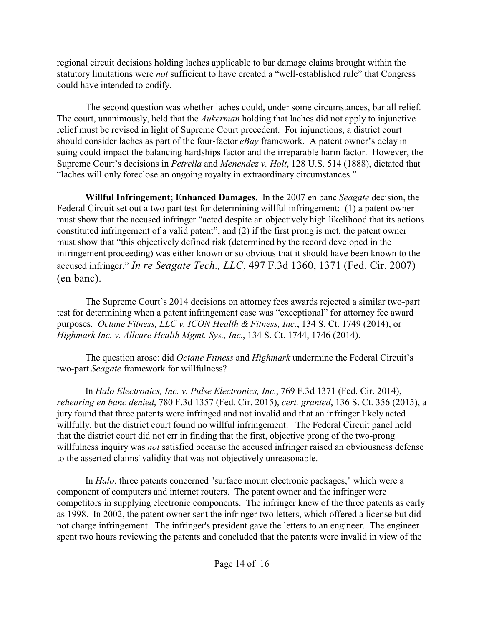regional circuit decisions holding laches applicable to bar damage claims brought within the statutory limitations were *not* sufficient to have created a "well-established rule" that Congress could have intended to codify.

The second question was whether laches could, under some circumstances, bar all relief. The court, unanimously, held that the *Aukerman* holding that laches did not apply to injunctive relief must be revised in light of Supreme Court precedent. For injunctions, a district court should consider laches as part of the four-factor *eBay* framework. A patent owner's delay in suing could impact the balancing hardships factor and the irreparable harm factor. However, the Supreme Court's decisions in *Petrella* and *Menendez v. Holt*, 128 U.S. 514 (1888), dictated that "laches will only foreclose an ongoing royalty in extraordinary circumstances."

**Willful Infringement; Enhanced Damages**. In the 2007 en banc *Seagate* decision, the Federal Circuit set out a two part test for determining willful infringement: (1) a patent owner must show that the accused infringer "acted despite an objectively high likelihood that its actions constituted infringement of a valid patent", and (2) if the first prong is met, the patent owner must show that "this objectively defined risk (determined by the record developed in the infringement proceeding) was either known or so obvious that it should have been known to the accused infringer." *In re Seagate Tech., LLC*, 497 F.3d 1360, 1371 (Fed. Cir. 2007) (en banc).

The Supreme Court's 2014 decisions on attorney fees awards rejected a similar two-part test for determining when a patent infringement case was "exceptional" for attorney fee award purposes. *Octane Fitness, LLC v. ICON Health & Fitness, Inc.*, 134 S. Ct. 1749 (2014), or *Highmark Inc. v. Allcare Health Mgmt. Sys., Inc.*, 134 S. Ct. 1744, 1746 (2014).

The question arose: did *Octane Fitness* and *Highmark* undermine the Federal Circuit's two-part *Seagate* framework for willfulness?

In *Halo Electronics, Inc. v. Pulse Electronics, Inc.*, 769 F.3d 1371 (Fed. Cir. 2014), *rehearing en banc denied*, 780 F.3d 1357 (Fed. Cir. 2015), *cert. granted*, 136 S. Ct. 356 (2015), a jury found that three patents were infringed and not invalid and that an infringer likely acted willfully, but the district court found no willful infringement. The Federal Circuit panel held that the district court did not err in finding that the first, objective prong of the two-prong willfulness inquiry was *not* satisfied because the accused infringer raised an obviousness defense to the asserted claims' validity that was not objectively unreasonable.

In *Halo*, three patents concerned "surface mount electronic packages," which were a component of computers and internet routers. The patent owner and the infringer were competitors in supplying electronic components. The infringer knew of the three patents as early as 1998. In 2002, the patent owner sent the infringer two letters, which offered a license but did not charge infringement. The infringer's president gave the letters to an engineer. The engineer spent two hours reviewing the patents and concluded that the patents were invalid in view of the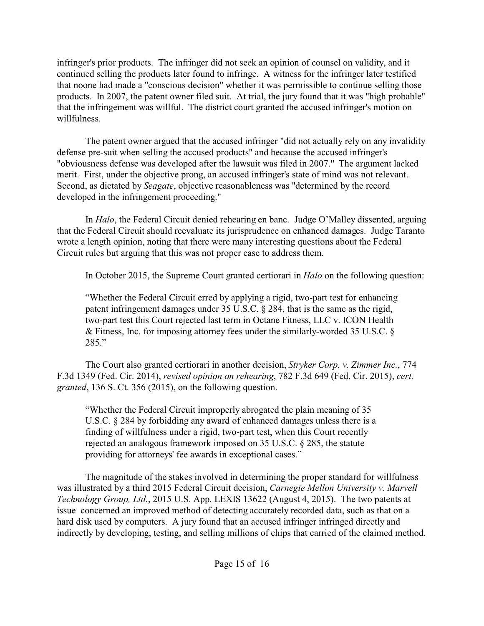infringer's prior products. The infringer did not seek an opinion of counsel on validity, and it continued selling the products later found to infringe. A witness for the infringer later testified that noone had made a "conscious decision" whether it was permissible to continue selling those products. In 2007, the patent owner filed suit. At trial, the jury found that it was "high probable" that the infringement was willful. The district court granted the accused infringer's motion on willfulness.

The patent owner argued that the accused infringer "did not actually rely on any invalidity defense pre-suit when selling the accused products" and because the accused infringer's "obviousness defense was developed after the lawsuit was filed in 2007." The argument lacked merit. First, under the objective prong, an accused infringer's state of mind was not relevant. Second, as dictated by *Seagate*, objective reasonableness was "determined by the record developed in the infringement proceeding."

In *Halo*, the Federal Circuit denied rehearing en banc. Judge O'Malley dissented, arguing that the Federal Circuit should reevaluate its jurisprudence on enhanced damages. Judge Taranto wrote a length opinion, noting that there were many interesting questions about the Federal Circuit rules but arguing that this was not proper case to address them.

In October 2015, the Supreme Court granted certiorari in *Halo* on the following question:

"Whether the Federal Circuit erred by applying a rigid, two-part test for enhancing patent infringement damages under 35 U.S.C. § 284, that is the same as the rigid, two-part test this Court rejected last term in Octane Fitness, LLC v. ICON Health & Fitness, Inc. for imposing attorney fees under the similarly-worded 35 U.S.C. § 285."

The Court also granted certiorari in another decision, *Stryker Corp. v. Zimmer Inc.*, 774 F.3d 1349 (Fed. Cir. 2014), *revised opinion on rehearing*, 782 F.3d 649 (Fed. Cir. 2015), *cert. granted*, 136 S. Ct. 356 (2015), on the following question.

"Whether the Federal Circuit improperly abrogated the plain meaning of 35 U.S.C. § 284 by forbidding any award of enhanced damages unless there is a finding of willfulness under a rigid, two-part test, when this Court recently rejected an analogous framework imposed on 35 U.S.C. § 285, the statute providing for attorneys' fee awards in exceptional cases."

The magnitude of the stakes involved in determining the proper standard for willfulness was illustrated by a third 2015 Federal Circuit decision, *Carnegie Mellon University v. Marvell Technology Group, Ltd.*, 2015 U.S. App. LEXIS 13622 (August 4, 2015). The two patents at issue concerned an improved method of detecting accurately recorded data, such as that on a hard disk used by computers. A jury found that an accused infringer infringed directly and indirectly by developing, testing, and selling millions of chips that carried of the claimed method.